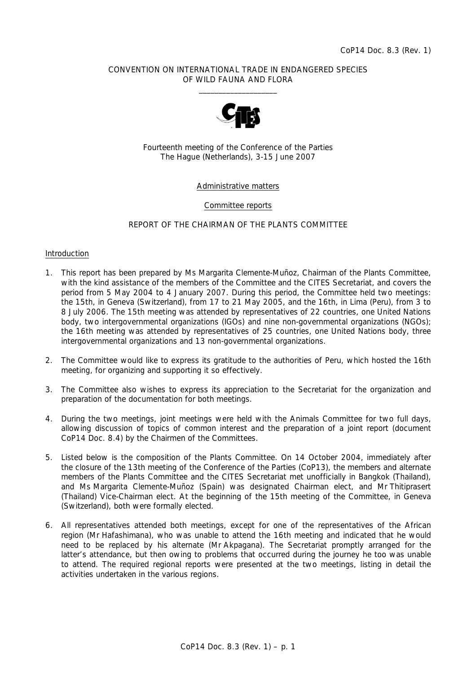## CONVENTION ON INTERNATIONAL TRADE IN ENDANGERED SPECIES OF WILD FAUNA AND FLORA  $\frac{1}{2}$  , and the set of the set of the set of the set of the set of the set of the set of the set of the set of the set of the set of the set of the set of the set of the set of the set of the set of the set of the set



Fourteenth meeting of the Conference of the Parties The Hague (Netherlands), 3-15 June 2007

# Administrative matters

## Committee reports

# REPORT OF THE CHAIRMAN OF THE PLANTS COMMITTEE

#### Introduction

- 1. This report has been prepared by Ms Margarita Clemente-Muñoz, Chairman of the Plants Committee, with the kind assistance of the members of the Committee and the CITES Secretariat, and covers the period from 5 May 2004 to 4 January 2007. During this period, the Committee held two meetings: the 15th, in Geneva (Switzerland), from 17 to 21 May 2005, and the 16th, in Lima (Peru), from 3 to 8 July 2006. The 15th meeting was attended by representatives of 22 countries, one United Nations body, two intergovernmental organizations (IGOs) and nine non-governmental organizations (NGOs); the 16th meeting was attended by representatives of 25 countries, one United Nations body, three intergovernmental organizations and 13 non-governmental organizations.
- 2. The Committee would like to express its gratitude to the authorities of Peru, which hosted the 16th meeting, for organizing and supporting it so effectively.
- 3. The Committee also wishes to express its appreciation to the Secretariat for the organization and preparation of the documentation for both meetings.
- 4. During the two meetings, joint meetings were held with the Animals Committee for two full days, allowing discussion of topics of common interest and the preparation of a joint report (document CoP14 Doc. 8.4) by the Chairmen of the Committees.
- 5. Listed below is the composition of the Plants Committee. On 14 October 2004, immediately after the closure of the 13th meeting of the Conference of the Parties (CoP13), the members and alternate members of the Plants Committee and the CITES Secretariat met unofficially in Bangkok (Thailand), and Ms Margarita Clemente-Muñoz (Spain) was designated Chairman elect, and Mr Thitiprasert (Thailand) Vice-Chairman elect. At the beginning of the 15th meeting of the Committee, in Geneva (Switzerland), both were formally elected.
- 6. All representatives attended both meetings, except for one of the representatives of the African region (Mr Hafashimana), who was unable to attend the 16th meeting and indicated that he would need to be replaced by his alternate (Mr Akpagana). The Secretariat promptly arranged for the latter's attendance, but then owing to problems that occurred during the journey he too was unable to attend. The required regional reports were presented at the two meetings, listing in detail the activities undertaken in the various regions.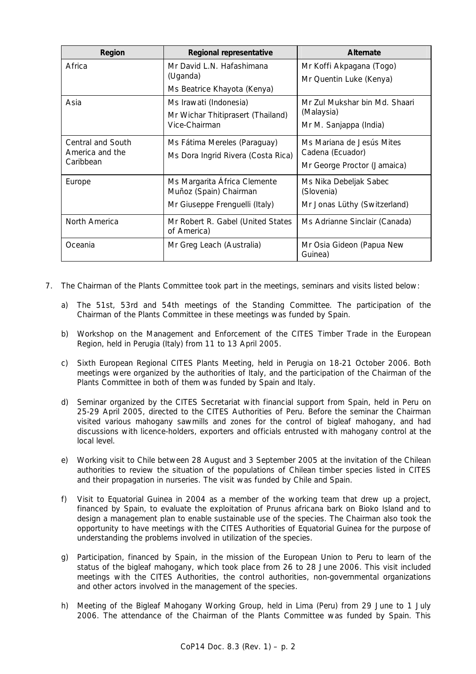| Region                                            | Regional representative                                                                  | <b>Alternate</b>                                                             |
|---------------------------------------------------|------------------------------------------------------------------------------------------|------------------------------------------------------------------------------|
| Africa                                            | Mr David L.N. Hafashimana<br>(Uganda)                                                    | Mr Koffi Akpagana (Togo)                                                     |
|                                                   | Ms Beatrice Khayota (Kenya)                                                              | Mr Quentin Luke (Kenya)                                                      |
| Asia                                              | Ms Irawati (Indonesia)                                                                   | Mr Zul Mukshar bin Md. Shaari<br>(Malaysia)                                  |
|                                                   | Mr Wichar Thitiprasert (Thailand)<br>Vice-Chairman                                       | Mr M. Sanjappa (India)                                                       |
| Central and South<br>America and the<br>Caribbean | Ms Fátima Mereles (Paraguay)<br>Ms Dora Ingrid Rivera (Costa Rica)                       | Ms Mariana de Jesús Mites<br>Cadena (Ecuador)<br>Mr George Proctor (Jamaica) |
| Europe                                            | Ms Margarita Africa Clemente<br>Muñoz (Spain) Chairman<br>Mr Giuseppe Frenguelli (Italy) | Ms Nika Debeljak Sabec<br>(Slovenia)<br>Mr Jonas Lüthy (Switzerland)         |
| North America                                     | Mr Robert R. Gabel (United States<br>of America)                                         | Ms Adrianne Sinclair (Canada)                                                |
| Oceania                                           | Mr Greg Leach (Australia)                                                                | Mr Osia Gideon (Papua New<br>Guinea)                                         |

- 7. The Chairman of the Plants Committee took part in the meetings, seminars and visits listed below:
	- a) The 51st, 53rd and 54th meetings of the Standing Committee. The participation of the Chairman of the Plants Committee in these meetings was funded by Spain.
	- b) Workshop on the Management and Enforcement of the CITES Timber Trade in the European Region, held in Perugia (Italy) from 11 to 13 April 2005.
	- c) Sixth European Regional CITES Plants Meeting, held in Perugia on 18-21 October 2006. Both meetings were organized by the authorities of Italy, and the participation of the Chairman of the Plants Committee in both of them was funded by Spain and Italy.
	- d) Seminar organized by the CITES Secretariat with financial support from Spain, held in Peru on 25-29 April 2005, directed to the CITES Authorities of Peru. Before the seminar the Chairman visited various mahogany sawmills and zones for the control of bigleaf mahogany, and had discussions with licence-holders, exporters and officials entrusted with mahogany control at the local level.
	- e) Working visit to Chile between 28 August and 3 September 2005 at the invitation of the Chilean authorities to review the situation of the populations of Chilean timber species listed in CITES and their propagation in nurseries. The visit was funded by Chile and Spain.
	- f) Visit to Equatorial Guinea in 2004 as a member of the working team that drew up a project, financed by Spain, to evaluate the exploitation of *Prunus africana* bark on Bioko Island and to design a management plan to enable sustainable use of the species. The Chairman also took the opportunity to have meetings with the CITES Authorities of Equatorial Guinea for the purpose of understanding the problems involved in utilization of the species.
	- g) Participation, financed by Spain, in the mission of the European Union to Peru to learn of the status of the bigleaf mahogany, which took place from 26 to 28 June 2006. This visit included meetings with the CITES Authorities, the control authorities, non-governmental organizations and other actors involved in the management of the species.
	- h) Meeting of the Bigleaf Mahogany Working Group, held in Lima (Peru) from 29 June to 1 July 2006. The attendance of the Chairman of the Plants Committee was funded by Spain. This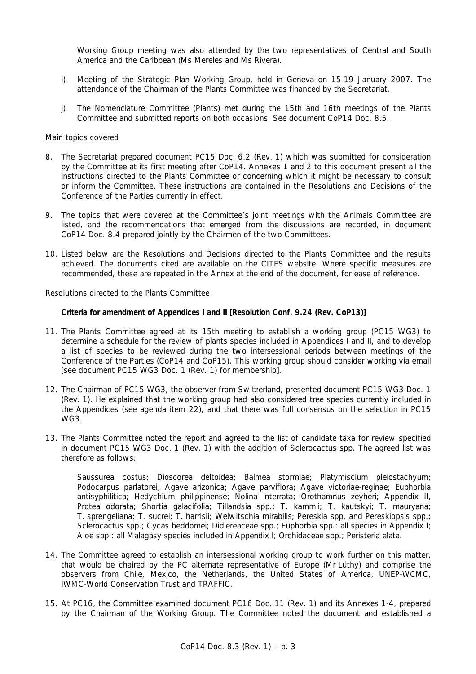Working Group meeting was also attended by the two representatives of Central and South America and the Caribbean (Ms Mereles and Ms Rivera).

- i) Meeting of the Strategic Plan Working Group, held in Geneva on 15-19 January 2007. The attendance of the Chairman of the Plants Committee was financed by the Secretariat.
- j) The Nomenclature Committee (Plants) met during the 15th and 16th meetings of the Plants Committee and submitted reports on both occasions. See document CoP14 Doc. 8.5.

#### Main topics covered

- 8. The Secretariat prepared document PC15 Doc. 6.2 (Rev. 1) which was submitted for consideration by the Committee at its first meeting after CoP14. Annexes 1 and 2 to this document present all the instructions directed to the Plants Committee or concerning which it might be necessary to consult or inform the Committee. These instructions are contained in the Resolutions and Decisions of the Conference of the Parties currently in effect.
- 9. The topics that were covered at the Committee's joint meetings with the Animals Committee are listed, and the recommendations that emerged from the discussions are recorded, in document CoP14 Doc. 8.4 prepared jointly by the Chairmen of the two Committees.
- 10. Listed below are the Resolutions and Decisions directed to the Plants Committee and the results achieved. The documents cited are available on the CITES website. Where specific measures are recommended, these are repeated in the Annex at the end of the document, for ease of reference.

## Resolutions directed to the Plants Committee

#### **Criteria for amendment of Appendices I and II [Resolution Conf. 9.24 (Rev. CoP13)]**

- 11. The Plants Committee agreed at its 15th meeting to establish a working group (PC15 WG3) to determine a schedule for the review of plants species included in Appendices I and II, and to develop a list of species to be reviewed during the two intersessional periods between meetings of the Conference of the Parties (CoP14 and CoP15). This working group should consider working via email [see document PC15 WG3 Doc. 1 (Rev. 1) for membership].
- 12. The Chairman of PC15 WG3, the observer from Switzerland, presented document PC15 WG3 Doc. 1 (Rev. 1). He explained that the working group had also considered tree species currently included in the Appendices (see agenda item 22), and that there was full consensus on the selection in PC15 WG3.
- 13. The Plants Committee noted the report and agreed to the list of candidate taxa for review specified in document PC15 WG3 Doc. 1 (Rev. 1) with the addition of *Sclerocactus* spp. The agreed list was therefore as follows:

 *Saussurea costus; Dioscorea deltoidea; Balmea stormiae; Platymiscium pleiostachyum; Podocarpus parlatorei; Agave arizonica; Agave parviflora; Agave victoriae-reginae; Euphorbia antisyphilitica; Hedychium philippinense; Nolina interrata; Orothamnus zeyheri*; Appendix II, *Protea odorata; Shortia galacifolia; Tillandsia* spp.: *T. kammii; T. kautskyi; T. mauryana; T. sprengeliana; T. sucrei; T. harrisii; Welwitschia mirabilis*; *Pereskia* spp*.* and *Pereskiopsis* spp.*; Sclerocactus* spp.*; Cycas beddomei;* Didiereaceae spp.; *Euphorbia* spp.: all species in Appendix I; *Aloe* spp.: all Malagasy species included in Appendix I; Orchidaceae spp.; *Peristeria elata*.

- 14. The Committee agreed to establish an intersessional working group to work further on this matter, that would be chaired by the PC alternate representative of Europe (Mr Lüthy) and comprise the observers from Chile, Mexico, the Netherlands, the United States of America, UNEP-WCMC, IWMC-World Conservation Trust and TRAFFIC.
- 15. At PC16, the Committee examined document PC16 Doc. 11 (Rev. 1) and its Annexes 1-4, prepared by the Chairman of the Working Group. The Committee noted the document and established a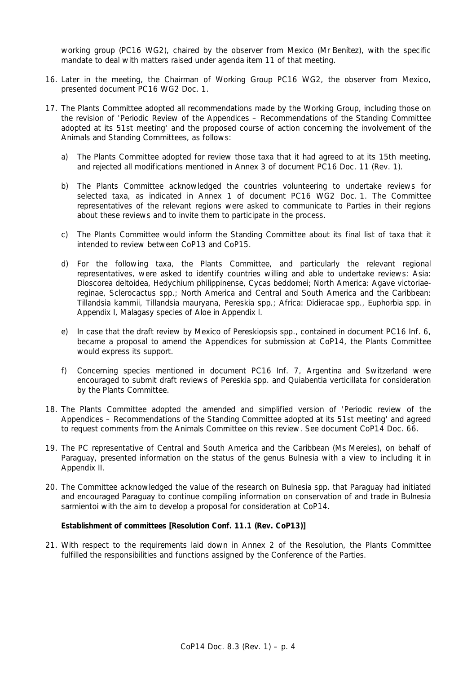working group (PC16 WG2), chaired by the observer from Mexico (Mr Benítez), with the specific mandate to deal with matters raised under agenda item 11 of that meeting.

- 16. Later in the meeting, the Chairman of Working Group PC16 WG2, the observer from Mexico, presented document PC16 WG2 Doc. 1.
- 17. The Plants Committee adopted all recommendations made by the Working Group, including those on the revision of 'Periodic Review of the Appendices – Recommendations of the Standing Committee adopted at its 51st meeting' and the proposed course of action concerning the involvement of the Animals and Standing Committees, as follows:
	- a) The Plants Committee adopted for review those taxa that it had agreed to at its 15th meeting, and rejected all modifications mentioned in Annex 3 of document PC16 Doc. 11 (Rev. 1).
	- b) The Plants Committee acknowledged the countries volunteering to undertake reviews for selected taxa, as indicated in Annex 1 of document PC16 WG2 Doc. 1. The Committee representatives of the relevant regions were asked to communicate to Parties in their regions about these reviews and to invite them to participate in the process.
	- c) The Plants Committee would inform the Standing Committee about its final list of taxa that it intended to review between CoP13 and CoP15.
	- d) For the following taxa, the Plants Committee, and particularly the relevant regional representatives, were asked to identify countries willing and able to undertake reviews: Asia: *Dioscorea deltoidea*, *Hedychium philippinense*, *Cycas beddomei*; North America: *Agave victoriaereginae*, *Sclerocactus* spp.; North America and Central and South America and the Caribbean: *Tillandsia kammii*, *Tillandsia mauryana*, *Pereskia* spp.; Africa: Didieracae spp., *Euphorbia* spp. in Appendix I, Malagasy species of *Aloe* in Appendix I.
	- e) In case that the draft review by Mexico of *Pereskiopsis* spp., contained in document PC16 Inf. 6, became a proposal to amend the Appendices for submission at CoP14, the Plants Committee would express its support.
	- f) Concerning species mentioned in document PC16 Inf. 7, Argentina and Switzerland were encouraged to submit draft reviews of *Pereskia* spp. and *Quiabentia verticillata* for consideration by the Plants Committee.
- 18. The Plants Committee adopted the amended and simplified version of 'Periodic review of the Appendices – Recommendations of the Standing Committee adopted at its 51st meeting' and agreed to request comments from the Animals Committee on this review. See document CoP14 Doc. 66.
- 19. The PC representative of Central and South America and the Caribbean (Ms Mereles), on behalf of Paraguay, presented information on the status of the genus *Bulnesia* with a view to including it in Appendix II.
- 20. The Committee acknowledged the value of the research on *Bulnesia* spp. that Paraguay had initiated and encouraged Paraguay to continue compiling information on conservation of and trade in *Bulnesia sarmientoi* with the aim to develop a proposal for consideration at CoP14.

# **Establishment of committees [Resolution Conf. 11.1 (Rev. CoP13)]**

21. With respect to the requirements laid down in Annex 2 of the Resolution, the Plants Committee fulfilled the responsibilities and functions assigned by the Conference of the Parties.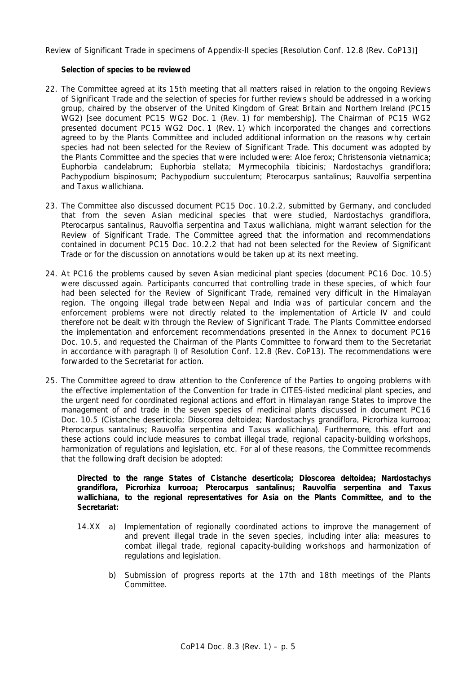# Review of Significant Trade in specimens of Appendix-II species [Resolution Conf. 12.8 (Rev. CoP13)]

## **Selection of species to be reviewed**

- 22. The Committee agreed at its 15th meeting that all matters raised in relation to the ongoing Reviews of Significant Trade and the selection of species for further reviews should be addressed in a working group, chaired by the observer of the United Kingdom of Great Britain and Northern Ireland (PC15 WG2) [see document PC15 WG2 Doc. 1 (Rev. 1) for membership]. The Chairman of PC15 WG2 presented document PC15 WG2 Doc. 1 (Rev. 1) which incorporated the changes and corrections agreed to by the Plants Committee and included additional information on the reasons why certain species had not been selected for the Review of Significant Trade. This document was adopted by the Plants Committee and the species that were included were: *Aloe ferox; Christensonia vietnamica; Euphorbia candelabrum; Euphorbia stellata; Myrmecophila tibicinis; Nardostachys grandiflora; Pachypodium bispinosum; Pachypodium succulentum; Pterocarpus santalinus; Rauvolfia serpentina* and *Taxus wallichiana*.
- 23. The Committee also discussed document PC15 Doc. 10.2.2, submitted by Germany, and concluded that from the seven Asian medicinal species that were studied, *Nardostachys grandiflora, Pterocarpus santalinus, Rauvolfia serpentina* and *Taxus wallichiana*, might warrant selection for the Review of Significant Trade. The Committee agreed that the information and recommendations contained in document PC15 Doc. 10.2.2 that had not been selected for the Review of Significant Trade or for the discussion on annotations would be taken up at its next meeting.
- 24. At PC16 the problems caused by seven Asian medicinal plant species (document PC16 Doc. 10.5) were discussed again. Participants concurred that controlling trade in these species, of which four had been selected for the Review of Significant Trade, remained very difficult in the Himalayan region. The ongoing illegal trade between Nepal and India was of particular concern and the enforcement problems were not directly related to the implementation of Article IV and could therefore not be dealt with through the Review of Significant Trade. The Plants Committee endorsed the implementation and enforcement recommendations presented in the Annex to document PC16 Doc. 10.5, and requested the Chairman of the Plants Committee to forward them to the Secretariat in accordance with paragraph l) of Resolution Conf. 12.8 (Rev. CoP13). The recommendations were forwarded to the Secretariat for action.
- 25. The Committee agreed to draw attention to the Conference of the Parties to ongoing problems with the effective implementation of the Convention for trade in CITES-listed medicinal plant species, and the urgent need for coordinated regional actions and effort in Himalayan range States to improve the management of and trade in the seven species of medicinal plants discussed in document PC16 Doc. 10.5 (*Cistanche deserticola*; *Dioscorea deltoidea*; *Nardostachys grandiflora, Picrorhiza kurrooa; Pterocarpus santalinus; Rauvolfia serpentina* and *Taxus wallichiana*). Furthermore, this effort and these actions could include measures to combat illegal trade, regional capacity-building workshops, harmonization of regulations and legislation, etc. For al of these reasons, the Committee recommends that the following draft decision be adopted:

 *Directed to the range States of* **Cistanche deserticola; Dioscorea deltoidea; Nardostachys grandiflora, Picrorhiza kurrooa; Pterocarpus santalinus; Rauvolfia serpentina and Taxus wallichiana,** *to the regional representatives for Asia on the Plants Committee, and to the Secretariat:* 

- 14.XX a) Implementation of regionally coordinated actions to improve the management of and prevent illegal trade in the seven species, including *inter alia*: measures to combat illegal trade, regional capacity-building workshops and harmonization of regulations and legislation.
	- b) Submission of progress reports at the 17th and 18th meetings of the Plants Committee.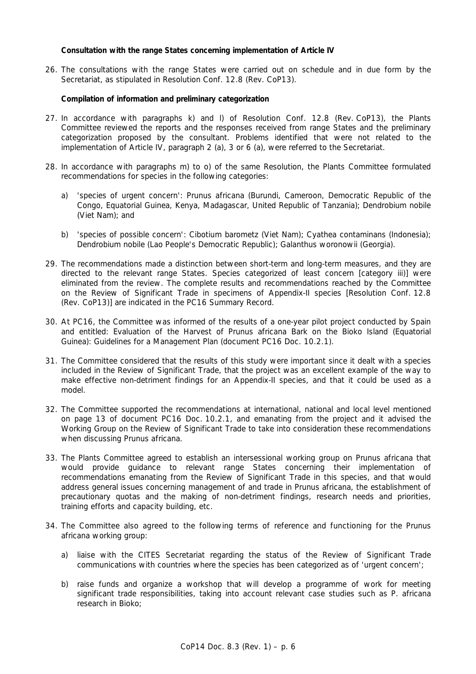### **Consultation with the range States concerning implementation of Article IV**

26. The consultations with the range States were carried out on schedule and in due form by the Secretariat, as stipulated in Resolution Conf. 12.8 (Rev. CoP13).

## **Compilation of information and preliminary categorization**

- 27. In accordance with paragraphs k) and l) of Resolution Conf. 12.8 (Rev. CoP13), the Plants Committee reviewed the reports and the responses received from range States and the preliminary categorization proposed by the consultant. Problems identified that were not related to the implementation of Article IV, paragraph 2 (a), 3 or 6 (a), were referred to the Secretariat.
- 28. In accordance with paragraphs m) to o) of the same Resolution, the Plants Committee formulated recommendations for species in the following categories:
	- a) 'species of urgent concern': *Prunus africana* (Burundi, Cameroon, Democratic Republic of the Congo, Equatorial Guinea, Kenya, Madagascar, United Republic of Tanzania); *Dendrobium nobile* (Viet Nam); and
	- b) 'species of possible concern': *Cibotium barometz* (Viet Nam); *Cyathea contaminans* (Indonesia)*; Dendrobium nobile* (Lao People's Democratic Republic); *Galanthus woronowii* (Georgia).
- 29. The recommendations made a distinction between short-term and long-term measures, and they are directed to the relevant range States. Species categorized of least concern [category iii)] were eliminated from the review. The complete results and recommendations reached by the Committee on the Review of Significant Trade in specimens of Appendix-II species [Resolution Conf. 12.8 (Rev. CoP13)] are indicated in the PC16 Summary Record.
- 30. At PC16, the Committee was informed of the results of a one-year pilot project conducted by Spain and entitled: *Evaluation of the Harvest of* Prunus africana *Bark on the Bioko Island (Equatorial Guinea): Guidelines for a Management Plan* (document PC16 Doc. 10.2.1)*.*
- 31. The Committee considered that the results of this study were important since it dealt with a species included in the Review of Significant Trade, that the project was an excellent example of the way to make effective non-detriment findings for an Appendix-II species, and that it could be used as a model.
- 32. The Committee supported the recommendations at international, national and local level mentioned on page 13 of document PC16 Doc. 10.2.1, and emanating from the project and it advised the Working Group on the Review of Significant Trade to take into consideration these recommendations when discussing *Prunus africana*.
- 33. The Plants Committee agreed to establish an intersessional working group on *Prunus africana* that would provide guidance to relevant range States concerning their implementation of recommendations emanating from the Review of Significant Trade in this species, and that would address general issues concerning management of and trade in *Prunus africana*, the establishment of precautionary quotas and the making of non-detriment findings, research needs and priorities, training efforts and capacity building, etc.
- 34. The Committee also agreed to the following terms of reference and functioning for the *Prunus africana* working group:
	- a) liaise with the CITES Secretariat regarding the status of the Review of Significant Trade communications with countries where the species has been categorized as of 'urgent concern';
	- b) raise funds and organize a workshop that will develop a programme of work for meeting significant trade responsibilities, taking into account relevant case studies such as *P. africana* research in Bioko;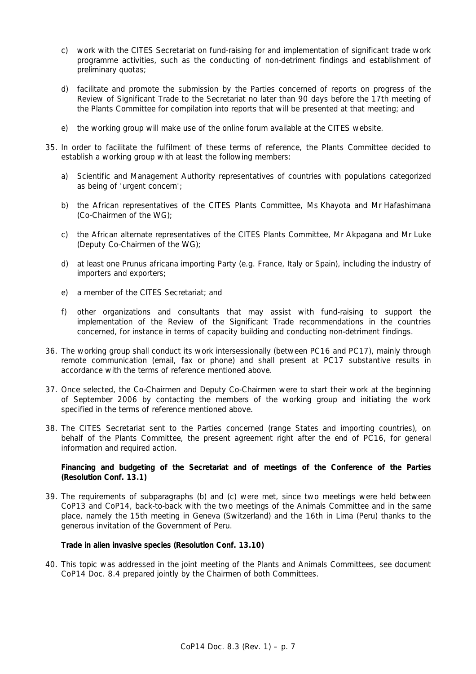- c) work with the CITES Secretariat on fund-raising for and implementation of significant trade work programme activities, such as the conducting of non-detriment findings and establishment of preliminary quotas;
- d) facilitate and promote the submission by the Parties concerned of reports on progress of the Review of Significant Trade to the Secretariat no later than 90 days before the 17th meeting of the Plants Committee for compilation into reports that will be presented at that meeting; and
- e) the working group will make use of the online forum available at the CITES website.
- 35. In order to facilitate the fulfilment of these terms of reference, the Plants Committee decided to establish a working group with at least the following members:
	- a) Scientific and Management Authority representatives of countries with populations categorized as being of 'urgent concern';
	- b) the African representatives of the CITES Plants Committee, Ms Khayota and Mr Hafashimana (Co-Chairmen of the WG);
	- c) the African alternate representatives of the CITES Plants Committee, Mr Akpagana and Mr Luke (Deputy Co-Chairmen of the WG);
	- d) at least one *Prunus africana* importing Party (e.g. France, Italy or Spain), including the industry of importers and exporters;
	- e) a member of the CITES Secretariat; and
	- f) other organizations and consultants that may assist with fund-raising to support the implementation of the Review of the Significant Trade recommendations in the countries concerned, for instance in terms of capacity building and conducting non-detriment findings.
- 36. The working group shall conduct its work intersessionally (between PC16 and PC17), mainly through remote communication (email, fax or phone) and shall present at PC17 substantive results in accordance with the terms of reference mentioned above.
- 37. Once selected, the Co-Chairmen and Deputy Co-Chairmen were to start their work at the beginning of September 2006 by contacting the members of the working group and initiating the work specified in the terms of reference mentioned above.
- 38. The CITES Secretariat sent to the Parties concerned (range States and importing countries), on behalf of the Plants Committee, the present agreement right after the end of PC16, for general information and required action.

 **Financing and budgeting of the Secretariat and of meetings of the Conference of the Parties (Resolution Conf. 13.1)** 

39. The requirements of subparagraphs (b) and (c) were met, since two meetings were held between CoP13 and CoP14, back-to-back with the two meetings of the Animals Committee and in the same place, namely the 15th meeting in Geneva (Switzerland) and the 16th in Lima (Peru) thanks to the generous invitation of the Government of Peru.

#### **Trade in alien invasive species (Resolution Conf. 13.10)**

40. This topic was addressed in the joint meeting of the Plants and Animals Committees, see document CoP14 Doc. 8.4 prepared jointly by the Chairmen of both Committees.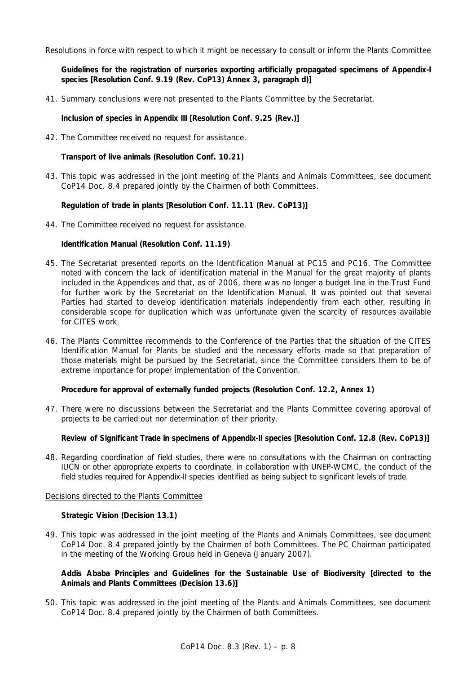### Resolutions in force with respect to which it might be necessary to consult or inform the Plants Committee

 **Guidelines for the registration of nurseries exporting artificially propagated specimens of Appendix-I species [Resolution Conf. 9.19 (Rev. CoP13) Annex 3, paragraph d)]** 

41. Summary conclusions were not presented to the Plants Committee by the Secretariat.

 **Inclusion of species in Appendix III [Resolution Conf. 9.25 (Rev.)]** 

42. The Committee received no request for assistance.

 **Transport of live animals (Resolution Conf. 10.21)** 

43. This topic was addressed in the joint meeting of the Plants and Animals Committees, see document CoP14 Doc. 8.4 prepared jointly by the Chairmen of both Committees.

## **Regulation of trade in plants [Resolution Conf. 11.11 (Rev. CoP13)]**

44. The Committee received no request for assistance.

## **Identification Manual (Resolution Conf. 11.19)**

- 45. The Secretariat presented reports on the Identification Manual at PC15 and PC16. The Committee noted with concern the lack of identification material in the Manual for the great majority of plants included in the Appendices and that, as of 2006, there was no longer a budget line in the Trust Fund for further work by the Secretariat on the Identification Manual. It was pointed out that several Parties had started to develop identification materials independently from each other, resulting in considerable scope for duplication which was unfortunate given the scarcity of resources available for CITES work.
- 46. The Plants Committee recommends to the Conference of the Parties that the situation of the CITES Identification Manual for Plants be studied and the necessary efforts made so that preparation of those materials might be pursued by the Secretariat, since the Committee considers them to be of extreme importance for proper implementation of the Convention.

# **Procedure for approval of externally funded projects (Resolution Conf. 12.2, Annex 1)**

47. There were no discussions between the Secretariat and the Plants Committee covering approval of projects to be carried out nor determination of their priority.

# **Review of Significant Trade in specimens of Appendix-II species [Resolution Conf. 12.8 (Rev. CoP13)]**

48. Regarding coordination of field studies, there were no consultations with the Chairman on contracting IUCN or other appropriate experts to coordinate, in collaboration with UNEP-WCMC, the conduct of the field studies required for Appendix-II species identified as being subject to significant levels of trade.

#### Decisions directed to the Plants Committee

#### **Strategic Vision (Decision 13.1)**

49. This topic was addressed in the joint meeting of the Plants and Animals Committees, see document CoP14 Doc. 8.4 prepared jointly by the Chairmen of both Committees. The PC Chairman participated in the meeting of the Working Group held in Geneva (January 2007).

# **Addis Ababa Principles and Guidelines for the Sustainable Use of Biodiversity [directed to the Animals and Plants Committees (Decision 13.6)]**

50. This topic was addressed in the joint meeting of the Plants and Animals Committees, see document CoP14 Doc. 8.4 prepared jointly by the Chairmen of both Committees.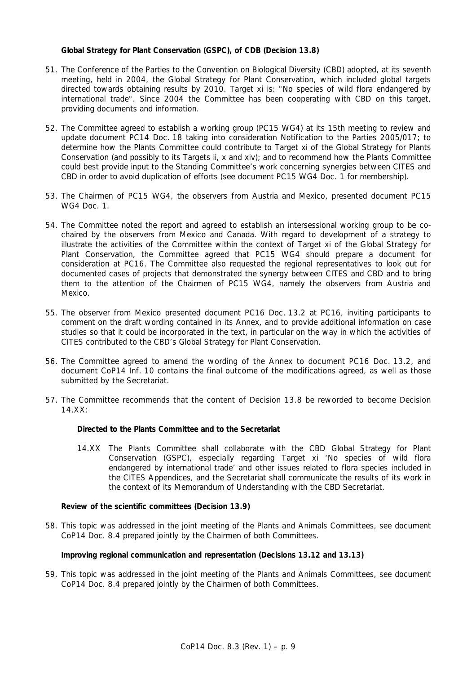# **Global Strategy for Plant Conservation (GSPC), of CDB (Decision 13.8)**

- 51. The Conference of the Parties to the Convention on Biological Diversity (CBD) adopted, at its seventh meeting, held in 2004, the Global Strategy for Plant Conservation, which included global targets directed towards obtaining results by 2010. Target xi is: "No species of wild flora endangered by international trade". Since 2004 the Committee has been cooperating with CBD on this target, providing documents and information.
- 52. The Committee agreed to establish a working group (PC15 WG4) at its 15th meeting to review and update document PC14 Doc. 18 taking into consideration Notification to the Parties 2005/017; to determine how the Plants Committee could contribute to Target xi of the Global Strategy for Plants Conservation (and possibly to its Targets ii, x and xiv); and to recommend how the Plants Committee could best provide input to the Standing Committee's work concerning synergies between CITES and CBD in order to avoid duplication of efforts (see document PC15 WG4 Doc. 1 for membership).
- 53. The Chairmen of PC15 WG4, the observers from Austria and Mexico, presented document PC15 WG4 Doc. 1.
- 54. The Committee noted the report and agreed to establish an intersessional working group to be cochaired by the observers from Mexico and Canada. With regard to development of a strategy to illustrate the activities of the Committee within the context of Target xi of the Global Strategy for Plant Conservation, the Committee agreed that PC15 WG4 should prepare a document for consideration at PC16. The Committee also requested the regional representatives to look out for documented cases of projects that demonstrated the synergy between CITES and CBD and to bring them to the attention of the Chairmen of PC15 WG4, namely the observers from Austria and Mexico.
- 55. The observer from Mexico presented document PC16 Doc. 13.2 at PC16, inviting participants to comment on the draft wording contained in its Annex, and to provide additional information on case studies so that it could be incorporated in the text, in particular on the way in which the activities of CITES contributed to the CBD's Global Strategy for Plant Conservation.
- 56. The Committee agreed to amend the wording of the Annex to document PC16 Doc. 13.2, and document CoP14 Inf. 10 contains the final outcome of the modifications agreed, as well as those submitted by the Secretariat.
- 57. The Committee recommends that the content of Decision 13.8 be reworded to become Decision  $14.XX$

#### *Directed to the Plants Committee and to the Secretariat*

 14.XX The Plants Committee shall collaborate with the CBD Global Strategy for Plant Conservation (GSPC), especially regarding Target xi 'No species of wild flora endangered by international trade' and other issues related to flora species included in the CITES Appendices, and the Secretariat shall communicate the results of its work in the context of its Memorandum of Understanding with the CBD Secretariat.

# **Review of the scientific committees (Decision 13.9)**

58. This topic was addressed in the joint meeting of the Plants and Animals Committees, see document CoP14 Doc. 8.4 prepared jointly by the Chairmen of both Committees.

# **Improving regional communication and representation (Decisions 13.12 and 13.13)**

59. This topic was addressed in the joint meeting of the Plants and Animals Committees, see document CoP14 Doc. 8.4 prepared jointly by the Chairmen of both Committees.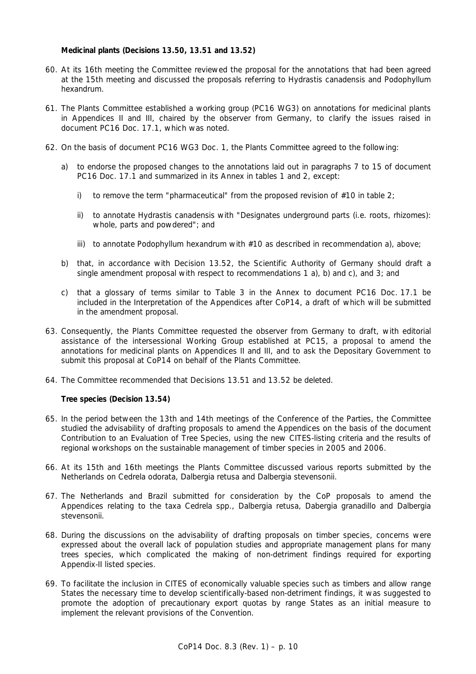# **Medicinal plants (Decisions 13.50, 13.51 and 13.52)**

- 60. At its 16th meeting the Committee reviewed the proposal for the annotations that had been agreed at the 15th meeting and discussed the proposals referring to *Hydrastis canadensis* and *Podophyllum hexandrum.*
- 61. The Plants Committee established a working group (PC16 WG3) on annotations for medicinal plants in Appendices II and III, chaired by the observer from Germany, to clarify the issues raised in document PC16 Doc. 17.1, which was noted.
- 62. On the basis of document PC16 WG3 Doc. 1, the Plants Committee agreed to the following:
	- a) to endorse the proposed changes to the annotations laid out in paragraphs 7 to 15 of document PC16 Doc. 17.1 and summarized in its Annex in tables 1 and 2, except:
		- i) to remove the term "pharmaceutical" from the proposed revision of  $#10$  in table 2;
		- ii) to annotate *Hydrastis canadensis* with "Designates underground parts (i.e. roots, rhizomes): whole, parts and powdered"; and
		- iii) to annotate *Podophyllum hexandrum* with #10 as described in recommendation a), above;
	- b) that, in accordance with Decision 13.52, the Scientific Authority of Germany should draft a single amendment proposal with respect to recommendations 1 a), b) and c), and 3; and
	- c) that a glossary of terms similar to Table 3 in the Annex to document PC16 Doc. 17.1 be included in the Interpretation of the Appendices after CoP14, a draft of which will be submitted in the amendment proposal.
- 63. Consequently, the Plants Committee requested the observer from Germany to draft, with editorial assistance of the intersessional Working Group established at PC15, a proposal to amend the annotations for medicinal plants on Appendices II and III, and to ask the Depositary Government to submit this proposal at CoP14 on behalf of the Plants Committee.
- 64. The Committee recommended that Decisions 13.51 and 13.52 be deleted.

# **Tree species (Decision 13.54)**

- 65. In the period between the 13th and 14th meetings of the Conference of the Parties, the Committee studied the advisability of drafting proposals to amend the Appendices on the basis of the document *Contribution to an Evaluation of Tree Species,* using the new CITES-listing criteria and the results of regional workshops on the sustainable management of timber species in 2005 and 2006.
- 66. At its 15th and 16th meetings the Plants Committee discussed various reports submitted by the Netherlands on *Cedrela odorata*, *Dalbergia retusa* and *Dalbergia stevensonii.*
- 67. The Netherlands and Brazil submitted for consideration by the CoP proposals to amend the Appendices relating to the taxa *Cedrela* spp., *Dalbergia retusa, Dabergia granadillo* and *Dalbergia stevensonii.*
- 68. During the discussions on the advisability of drafting proposals on timber species, concerns were expressed about the overall lack of population studies and appropriate management plans for many trees species, which complicated the making of non-detriment findings required for exporting Appendix-II listed species.
- 69. To facilitate the inclusion in CITES of economically valuable species such as timbers and allow range States the necessary time to develop scientifically-based non-detriment findings, it was suggested to promote the adoption of precautionary export quotas by range States as an initial measure to implement the relevant provisions of the Convention.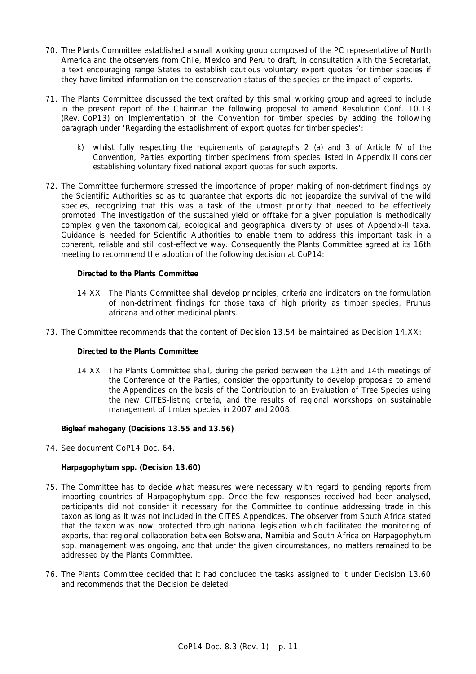- 70. The Plants Committee established a small working group composed of the PC representative of North America and the observers from Chile, Mexico and Peru to draft, in consultation with the Secretariat, a text encouraging range States to establish cautious voluntary export quotas for timber species if they have limited information on the conservation status of the species or the impact of exports.
- 71. The Plants Committee discussed the text drafted by this small working group and agreed to include in the present report of the Chairman the following proposal to amend Resolution Conf. 10.13 (Rev. CoP13) on Implementation of the Convention for timber species by adding the following paragraph under '*Regarding the establishment of export quotas for timber species'*:
	- k) whilst fully respecting the requirements of paragraphs 2 (a) and 3 of Article IV of the Convention, Parties exporting timber specimens from species listed in Appendix II consider establishing voluntary fixed national export quotas for such exports.
- 72. The Committee furthermore stressed the importance of proper making of non-detriment findings by the Scientific Authorities so as to guarantee that exports did not jeopardize the survival of the wild species, recognizing that this was a task of the utmost priority that needed to be effectively promoted. The investigation of the sustained yield or offtake for a given population is methodically complex given the taxonomical, ecological and geographical diversity of uses of Appendix-II taxa. Guidance is needed for Scientific Authorities to enable them to address this important task in a coherent, reliable and still cost-effective way. Consequently the Plants Committee agreed at its 16th meeting to recommend the adoption of the following decision at CoP14:

## *Directed to the Plants Committee*

- 14.XX The Plants Committee shall develop principles, criteria and indicators on the formulation of non-detriment findings for those taxa of high priority as timber species, *Prunus africana* and other medicinal plants.
- 73. The Committee recommends that the content of Decision 13.54 be maintained as Decision 14.XX:

## *Directed to the Plants Committee*

 14.XX The Plants Committee shall, during the period between the 13th and 14th meetings of the Conference of the Parties, consider the opportunity to develop proposals to amend the Appendices on the basis of the *Contribution to an Evaluation of Tree Species* using the new CITES-listing criteria, and the results of regional workshops on sustainable management of timber species in 2007 and 2008.

#### **Bigleaf mahogany (Decisions 13.55 and 13.56)**

74. See document CoP14 Doc. 64.

# *Harpagophytum* **spp. (Decision 13.60)**

- 75. The Committee has to decide what measures were necessary with regard to pending reports from importing countries of *Harpagophytum* spp. Once the few responses received had been analysed, participants did not consider it necessary for the Committee to continue addressing trade in this taxon as long as it was not included in the CITES Appendices. The observer from South Africa stated that the taxon was now protected through national legislation which facilitated the monitoring of exports, that regional collaboration between Botswana, Namibia and South Africa on *Harpagophytum* spp. management was ongoing, and that under the given circumstances, no matters remained to be addressed by the Plants Committee.
- 76. The Plants Committee decided that it had concluded the tasks assigned to it under Decision 13.60 and recommends that the Decision be deleted.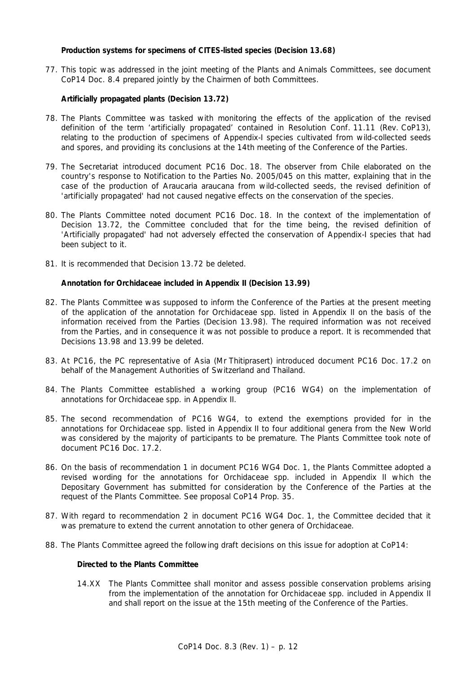# **Production systems for specimens of CITES-listed species (Decision 13.68)**

77. This topic was addressed in the joint meeting of the Plants and Animals Committees, see document CoP14 Doc. 8.4 prepared jointly by the Chairmen of both Committees.

# **Artificially propagated plants (Decision 13.72)**

- 78. The Plants Committee was tasked with monitoring the effects of the application of the revised definition of the term 'artificially propagated' contained in Resolution Conf. 11.11 (Rev. CoP13), relating to the production of specimens of Appendix-I species cultivated from wild-collected seeds and spores, and providing its conclusions at the 14th meeting of the Conference of the Parties.
- 79. The Secretariat introduced document PC16 Doc. 18. The observer from Chile elaborated on the country's response to Notification to the Parties No. 2005/045 on this matter, explaining that in the case of the production of *Araucaria araucana* from wild-collected seeds, the revised definition of 'artificially propagated' had not caused negative effects on the conservation of the species.
- 80. The Plants Committee noted document PC16 Doc. 18. In the context of the implementation of Decision 13.72, the Committee concluded that for the time being, the revised definition of 'Artificially propagated' had not adversely effected the conservation of Appendix-I species that had been subject to it.
- 81. It is recommended that Decision 13.72 be deleted.

#### **Annotation for Orchidaceae included in Appendix II (Decision 13.99)**

- 82. The Plants Committee was supposed to inform the Conference of the Parties at the present meeting of the application of the annotation for Orchidaceae spp. listed in Appendix II on the basis of the information received from the Parties (Decision 13.98). The required information was not received from the Parties, and in consequence it was not possible to produce a report. It is recommended that Decisions 13.98 and 13.99 be deleted.
- 83. At PC16, the PC representative of Asia (Mr Thitiprasert) introduced document PC16 Doc. 17.2 on behalf of the Management Authorities of Switzerland and Thailand.
- 84. The Plants Committee established a working group (PC16 WG4) on the implementation of annotations for Orchidaceae spp. in Appendix II.
- 85. The second recommendation of PC16 WG4, to extend the exemptions provided for in the annotations for Orchidaceae spp. listed in Appendix II to four additional genera from the New World was considered by the majority of participants to be premature. The Plants Committee took note of document PC16 Doc. 17.2.
- 86. On the basis of recommendation 1 in document PC16 WG4 Doc. 1, the Plants Committee adopted a revised wording for the annotations for Orchidaceae spp. included in Appendix II which the Depositary Government has submitted for consideration by the Conference of the Parties at the request of the Plants Committee. See proposal CoP14 Prop. 35.
- 87. With regard to recommendation 2 in document PC16 WG4 Doc. 1, the Committee decided that it was premature to extend the current annotation to other genera of Orchidaceae.
- 88. The Plants Committee agreed the following draft decisions on this issue for adoption at CoP14:

# *Directed to the Plants Committee*

 14.XX The Plants Committee shall monitor and assess possible conservation problems arising from the implementation of the annotation for Orchidaceae spp. included in Appendix II and shall report on the issue at the 15th meeting of the Conference of the Parties.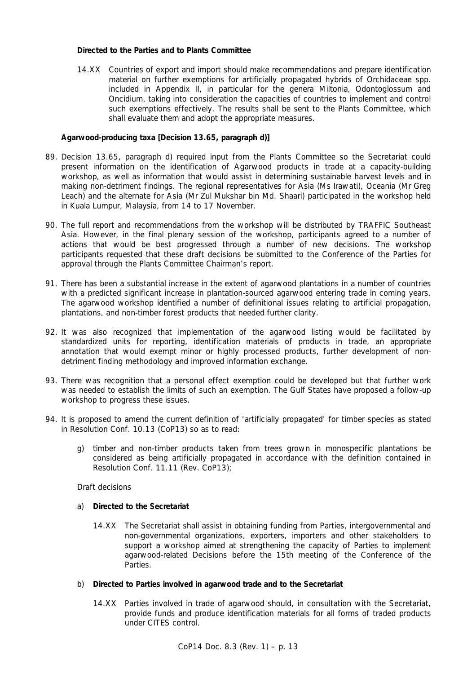# *Directed to the Parties and to Plants Committee*

 14.XX Countries of export and import should make recommendations and prepare identification material on further exemptions for artificially propagated hybrids of Orchidaceae spp. included in Appendix II, in particular for the genera *Miltonia*, *Odontoglossum* and *Oncidium*, taking into consideration the capacities of countries to implement and control such exemptions effectively. The results shall be sent to the Plants Committee, which shall evaluate them and adopt the appropriate measures.

# **Agarwood-producing taxa [Decision 13.65, paragraph d)]**

- 89. Decision 13.65, paragraph d) required input from the Plants Committee so the Secretariat could present information on the identification of Agarwood products in trade at a capacity-building workshop, as well as information that would assist in determining sustainable harvest levels and in making non-detriment findings. The regional representatives for Asia (Ms Irawati), Oceania (Mr Greg Leach) and the alternate for Asia (Mr Zul Mukshar bin Md. Shaari) participated in the workshop held in Kuala Lumpur, Malaysia, from 14 to 17 November.
- 90. The full report and recommendations from the workshop will be distributed by TRAFFIC Southeast Asia. However, in the final plenary session of the workshop, participants agreed to a number of actions that would be best progressed through a number of new decisions. The workshop participants requested that these draft decisions be submitted to the Conference of the Parties for approval through the Plants Committee Chairman's report.
- 91. There has been a substantial increase in the extent of agarwood plantations in a number of countries with a predicted significant increase in plantation-sourced agarwood entering trade in coming years. The agarwood workshop identified a number of definitional issues relating to artificial propagation, plantations, and non-timber forest products that needed further clarity.
- 92. It was also recognized that implementation of the agarwood listing would be facilitated by standardized units for reporting, identification materials of products in trade, an appropriate annotation that would exempt minor or highly processed products, further development of nondetriment finding methodology and improved information exchange.
- 93. There was recognition that a personal effect exemption could be developed but that further work was needed to establish the limits of such an exemption. The Gulf States have proposed a follow-up workshop to progress these issues.
- 94. It is proposed to amend the current definition of 'artificially propagated' for timber species as stated in Resolution Conf. 10.13 (CoP13) so as to read:
	- g) timber and non-timber products taken from trees grown in monospecific plantations be considered as being artificially propagated in accordance with the definition contained in Resolution Conf. 11.11 (Rev. CoP13);

#### Draft decisions

- a) *Directed to the Secretariat*
	- 14.XX The Secretariat shall assist in obtaining funding from Parties, intergovernmental and non-governmental organizations, exporters, importers and other stakeholders to support a workshop aimed at strengthening the capacity of Parties to implement agarwood-related Decisions before the 15th meeting of the Conference of the Parties.
- b) *Directed to Parties involved in agarwood trade and to the Secretariat*
	- 14.XX Parties involved in trade of agarwood should, in consultation with the Secretariat, provide funds and produce identification materials for all forms of traded products under CITES control.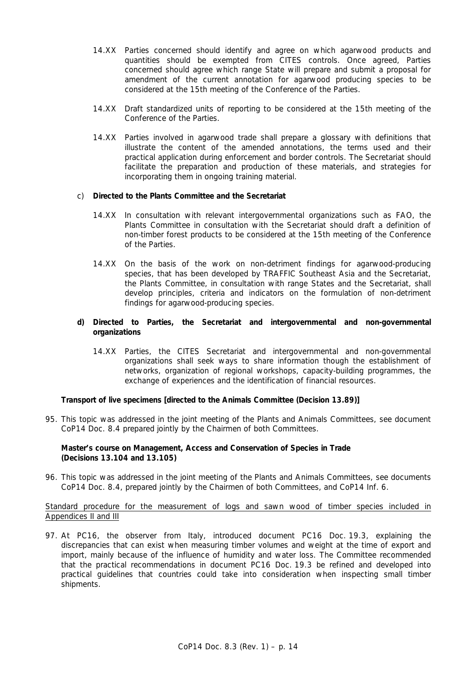- 14.XX Parties concerned should identify and agree on which agarwood products and quantities should be exempted from CITES controls. Once agreed, Parties concerned should agree which range State will prepare and submit a proposal for amendment of the current annotation for agarwood producing species to be considered at the 15th meeting of the Conference of the Parties.
- 14.XX Draft standardized units of reporting to be considered at the 15th meeting of the Conference of the Parties.
- 14.XX Parties involved in agarwood trade shall prepare a glossary with definitions that illustrate the content of the amended annotations, the terms used and their practical application during enforcement and border controls. The Secretariat should facilitate the preparation and production of these materials, and strategies for incorporating them in ongoing training material.

## c) *Directed to the Plants Committee and the Secretariat*

- 14.XX In consultation with relevant intergovernmental organizations such as FAO, the Plants Committee in consultation with the Secretariat should draft a definition of non-timber forest products to be considered at the 15th meeting of the Conference of the Parties.
- 14.XX On the basis of the work on non-detriment findings for agarwood-producing species, that has been developed by TRAFFIC Southeast Asia and the Secretariat, the Plants Committee, in consultation with range States and the Secretariat, shall develop principles, criteria and indicators on the formulation of non-detriment findings for agarwood-producing species.

# **d)** *Directed to Parties, the Secretariat and intergovernmental and non-governmental organizations*

 14.XX Parties, the CITES Secretariat and intergovernmental and non-governmental organizations shall seek ways to share information though the establishment of networks, organization of regional workshops, capacity-building programmes, the exchange of experiences and the identification of financial resources.

# **Transport of live specimens [directed to the Animals Committee (Decision 13.89)]**

95. This topic was addressed in the joint meeting of the Plants and Animals Committees, see document CoP14 Doc. 8.4 prepared jointly by the Chairmen of both Committees.

## **Master's course on Management, Access and Conservation of Species in Trade (Decisions 13.104 and 13.105)**

96. This topic was addressed in the joint meeting of the Plants and Animals Committees, see documents CoP14 Doc. 8.4, prepared jointly by the Chairmen of both Committees, and CoP14 Inf. 6.

# Standard procedure for the measurement of logs and sawn wood of timber species included in Appendices II and III

97. At PC16, the observer from Italy, introduced document PC16 Doc. 19.3, explaining the discrepancies that can exist when measuring timber volumes and weight at the time of export and import, mainly because of the influence of humidity and water loss. The Committee recommended that the practical recommendations in document PC16 Doc. 19.3 be refined and developed into practical guidelines that countries could take into consideration when inspecting small timber shipments.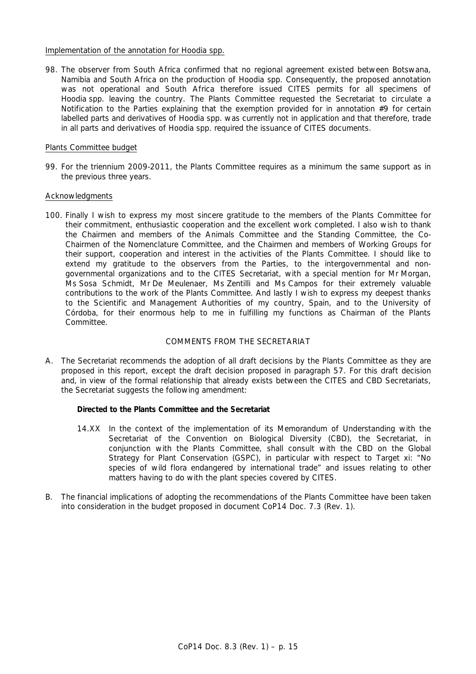### Implementation of the annotation for *Hoodia* spp.

98. The observer from South Africa confirmed that no regional agreement existed between Botswana, Namibia and South Africa on the production of *Hoodia* spp. Consequently, the proposed annotation was not operational and South Africa therefore issued CITES permits for all specimens of *Hoodia* spp. leaving the country. The Plants Committee requested the Secretariat to circulate a Notification to the Parties explaining that the exemption provided for in annotation #9 for certain labelled parts and derivatives of *Hoodia* spp. was currently not in application and that therefore, trade in all parts and derivatives of *Hoodia* spp. required the issuance of CITES documents.

## Plants Committee budget

99. For the triennium 2009-2011, the Plants Committee requires as a minimum the same support as in the previous three years.

## Acknowledgments

100. Finally I wish to express my most sincere gratitude to the members of the Plants Committee for their commitment, enthusiastic cooperation and the excellent work completed. I also wish to thank the Chairmen and members of the Animals Committee and the Standing Committee, the Co-Chairmen of the Nomenclature Committee, and the Chairmen and members of Working Groups for their support, cooperation and interest in the activities of the Plants Committee. I should like to extend my gratitude to the observers from the Parties, to the intergovernmental and nongovernmental organizations and to the CITES Secretariat, with a special mention for Mr Morgan, Ms Sosa Schmidt, Mr De Meulenaer, Ms Zentilli and Ms Campos for their extremely valuable contributions to the work of the Plants Committee. And lastly I wish to express my deepest thanks to the Scientific and Management Authorities of my country, Spain, and to the University of Córdoba, for their enormous help to me in fulfilling my functions as Chairman of the Plants Committee.

# COMMENTS FROM THE SECRETARIAT

A. The Secretariat recommends the adoption of all draft decisions by the Plants Committee as they are proposed in this report, except the draft decision proposed in paragraph 57. For this draft decision and, in view of the formal relationship that already exists between the CITES and CBD Secretariats, the Secretariat suggests the following amendment:

# *Directed to the Plants Committee and the Secretariat*

- 14.XX In the context of the implementation of its Memorandum of Understanding with the Secretariat of the Convention on Biological Diversity (CBD), the Secretariat, in conjunction with the Plants Committee, shall consult with the CBD on the Global Strategy for Plant Conservation (GSPC), in particular with respect to Target xi: "No species of wild flora endangered by international trade" and issues relating to other matters having to do with the plant species covered by CITES.
- B. The financial implications of adopting the recommendations of the Plants Committee have been taken into consideration in the budget proposed in document CoP14 Doc. 7.3 (Rev. 1).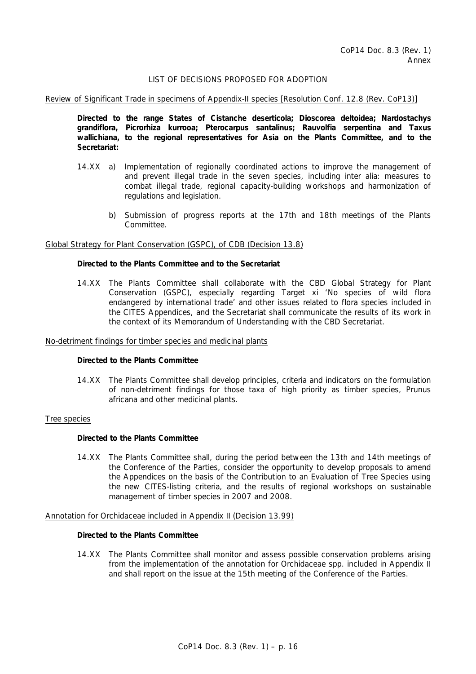# LIST OF DECISIONS PROPOSED FOR ADOPTION

Review of Significant Trade in specimens of Appendix-II species [Resolution Conf. 12.8 (Rev. CoP13)]

 *Directed to the range States of* **Cistanche deserticola; Dioscorea deltoidea; Nardostachys grandiflora, Picrorhiza kurrooa; Pterocarpus santalinus; Rauvolfia serpentina and Taxus wallichiana,** *to the regional representatives for Asia on the Plants Committee, and to the Secretariat:* 

- 14.XX a) Implementation of regionally coordinated actions to improve the management of and prevent illegal trade in the seven species, including *inter alia*: measures to combat illegal trade, regional capacity-building workshops and harmonization of regulations and legislation.
	- b) Submission of progress reports at the 17th and 18th meetings of the Plants Committee.

#### Global Strategy for Plant Conservation (GSPC), of CDB (Decision 13.8)

### *Directed to the Plants Committee and to the Secretariat*

 14.XX The Plants Committee shall collaborate with the CBD Global Strategy for Plant Conservation (GSPC), especially regarding Target xi 'No species of wild flora endangered by international trade' and other issues related to flora species included in the CITES Appendices, and the Secretariat shall communicate the results of its work in the context of its Memorandum of Understanding with the CBD Secretariat.

#### No-detriment findings for timber species and medicinal plants

#### *Directed to the Plants Committee*

 14.XX The Plants Committee shall develop principles, criteria and indicators on the formulation of non-detriment findings for those taxa of high priority as timber species, *Prunus africana* and other medicinal plants.

#### Tree species

#### *Directed to the Plants Committee*

 14.XX The Plants Committee shall, during the period between the 13th and 14th meetings of the Conference of the Parties, consider the opportunity to develop proposals to amend the Appendices on the basis of the *Contribution to an Evaluation of Tree Species* using the new CITES-listing criteria, and the results of regional workshops on sustainable management of timber species in 2007 and 2008.

#### Annotation for Orchidaceae included in Appendix II (Decision 13.99)

#### *Directed to the Plants Committee*

 14.XX The Plants Committee shall monitor and assess possible conservation problems arising from the implementation of the annotation for Orchidaceae spp. included in Appendix II and shall report on the issue at the 15th meeting of the Conference of the Parties.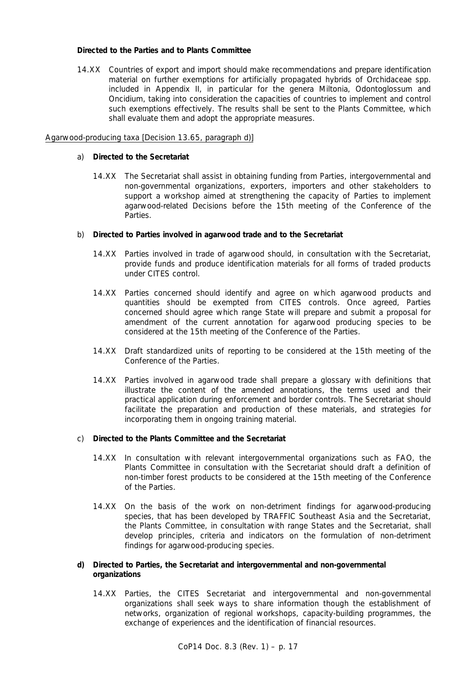# *Directed to the Parties and to Plants Committee*

 14.XX Countries of export and import should make recommendations and prepare identification material on further exemptions for artificially propagated hybrids of Orchidaceae spp. included in Appendix II, in particular for the genera *Miltonia*, *Odontoglossum* and *Oncidium*, taking into consideration the capacities of countries to implement and control such exemptions effectively. The results shall be sent to the Plants Committee, which shall evaluate them and adopt the appropriate measures.

## Agarwood-producing taxa [Decision 13.65, paragraph d)]

## a) *Directed to the Secretariat*

 14.XX The Secretariat shall assist in obtaining funding from Parties, intergovernmental and non-governmental organizations, exporters, importers and other stakeholders to support a workshop aimed at strengthening the capacity of Parties to implement agarwood-related Decisions before the 15th meeting of the Conference of the Parties.

#### b) *Directed to Parties involved in agarwood trade and to the Secretariat*

- 14.XX Parties involved in trade of agarwood should, in consultation with the Secretariat, provide funds and produce identification materials for all forms of traded products under CITES control.
- 14.XX Parties concerned should identify and agree on which agarwood products and quantities should be exempted from CITES controls. Once agreed, Parties concerned should agree which range State will prepare and submit a proposal for amendment of the current annotation for agarwood producing species to be considered at the 15th meeting of the Conference of the Parties.
- 14.XX Draft standardized units of reporting to be considered at the 15th meeting of the Conference of the Parties.
- 14.XX Parties involved in agarwood trade shall prepare a glossary with definitions that illustrate the content of the amended annotations, the terms used and their practical application during enforcement and border controls. The Secretariat should facilitate the preparation and production of these materials, and strategies for incorporating them in ongoing training material.

### c) *Directed to the Plants Committee and the Secretariat*

- 14.XX In consultation with relevant intergovernmental organizations such as FAO, the Plants Committee in consultation with the Secretariat should draft a definition of non-timber forest products to be considered at the 15th meeting of the Conference of the Parties.
- 14.XX On the basis of the work on non-detriment findings for agarwood-producing species, that has been developed by TRAFFIC Southeast Asia and the Secretariat, the Plants Committee, in consultation with range States and the Secretariat, shall develop principles, criteria and indicators on the formulation of non-detriment findings for agarwood-producing species.

# **d)** *Directed to Parties, the Secretariat and intergovernmental and non-governmental organizations*

 14.XX Parties, the CITES Secretariat and intergovernmental and non-governmental organizations shall seek ways to share information though the establishment of networks, organization of regional workshops, capacity-building programmes, the exchange of experiences and the identification of financial resources.